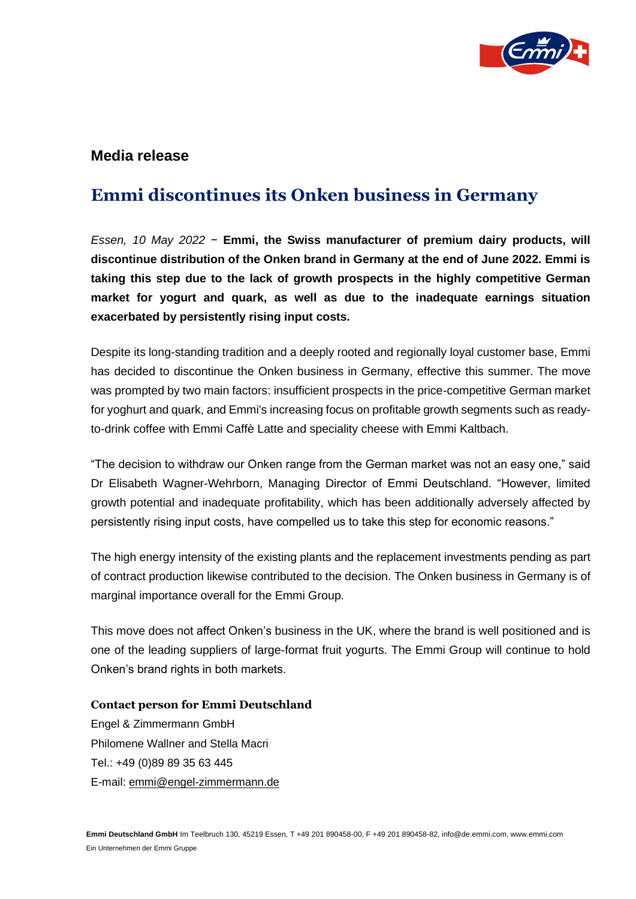

## **Media release**

## **Emmi discontinues its Onken business in Germany**

*Essen, 10 May 2022* − **Emmi, the Swiss manufacturer of premium dairy products, will discontinue distribution of the Onken brand in Germany at the end of June 2022. Emmi is taking this step due to the lack of growth prospects in the highly competitive German market for yogurt and quark, as well as due to the inadequate earnings situation exacerbated by persistently rising input costs.** 

Despite its long-standing tradition and a deeply rooted and regionally loyal customer base, Emmi has decided to discontinue the Onken business in Germany, effective this summer. The move was prompted by two main factors: insufficient prospects in the price-competitive German market for yoghurt and quark, and Emmi's increasing focus on profitable growth segments such as readyto-drink coffee with Emmi Caffè Latte and speciality cheese with Emmi Kaltbach.

"The decision to withdraw our Onken range from the German market was not an easy one," said Dr Elisabeth Wagner-Wehrborn, Managing Director of Emmi Deutschland. "However, limited growth potential and inadequate profitability, which has been additionally adversely affected by persistently rising input costs, have compelled us to take this step for economic reasons."

The high energy intensity of the existing plants and the replacement investments pending as part of contract production likewise contributed to the decision. The Onken business in Germany is of marginal importance overall for the Emmi Group.

This move does not affect Onken's business in the UK, where the brand is well positioned and is one of the leading suppliers of large-format fruit yogurts. The Emmi Group will continue to hold Onken's brand rights in both markets.

**Contact person for Emmi Deutschland** Engel & Zimmermann GmbH Philomene Wallner and Stella Macri Tel.: +49 (0)89 89 35 63 445 E-mail: [emmi@engel-zimmermann.de](mailto:emmi@achtung.de)